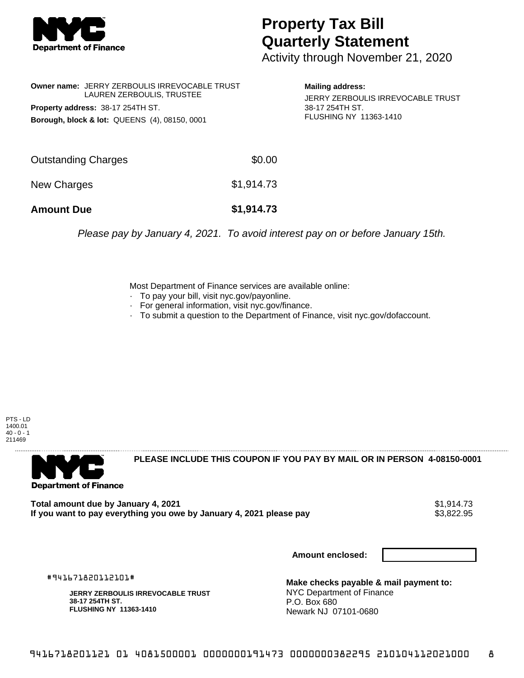

## **Property Tax Bill Quarterly Statement**

Activity through November 21, 2020

|                                                          | <b>Owner name: JERRY ZERBOULIS IRREVOCABLE TRUST</b><br>LAUREN ZERBOULIS, TRUSTEE |  |  |
|----------------------------------------------------------|-----------------------------------------------------------------------------------|--|--|
| Property address: 38-17 254TH ST.                        |                                                                                   |  |  |
| <b>Borough, block &amp; lot: QUEENS (4), 08150, 0001</b> |                                                                                   |  |  |

## **Mailing address:**

JERRY ZERBOULIS IRREVOCABLE TRUST 38-17 254TH ST. FLUSHING NY 11363-1410

| <b>Amount Due</b>   | \$1,914.73 |
|---------------------|------------|
| New Charges         | \$1,914.73 |
| Outstanding Charges | \$0.00     |

Please pay by January 4, 2021. To avoid interest pay on or before January 15th.

Most Department of Finance services are available online:

- · To pay your bill, visit nyc.gov/payonline.
- For general information, visit nyc.gov/finance.
- · To submit a question to the Department of Finance, visit nyc.gov/dofaccount.

PTS - LD 1400.01  $40 - 0 - 1$ 211469



**PLEASE INCLUDE THIS COUPON IF YOU PAY BY MAIL OR IN PERSON 4-08150-0001** 

Total amount due by January 4, 2021<br>If you want to pay everything you owe by January 4, 2021 please pay **strategy and the set of the set of the s**3,822.95 If you want to pay everything you owe by January 4, 2021 please pay

**Amount enclosed:**

#941671820112101#

**JERRY ZERBOULIS IRREVOCABLE TRUST 38-17 254TH ST. FLUSHING NY 11363-1410**

**Make checks payable & mail payment to:** NYC Department of Finance P.O. Box 680 Newark NJ 07101-0680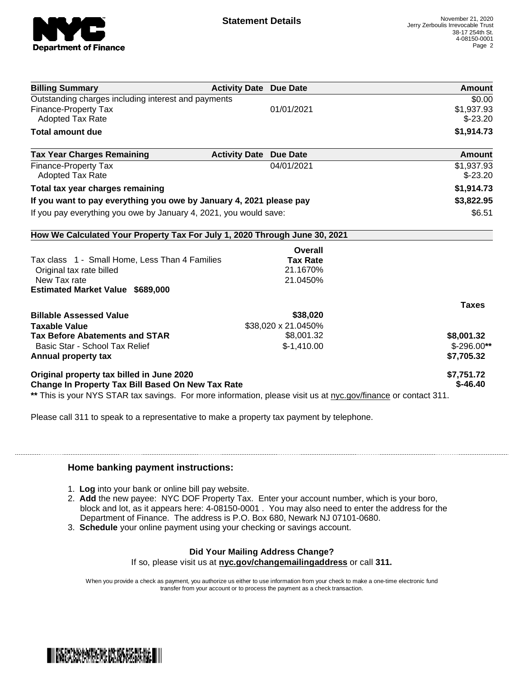

| <b>Billing Summary</b>                                                                                         | <b>Activity Date Due Date</b>           | Amount       |
|----------------------------------------------------------------------------------------------------------------|-----------------------------------------|--------------|
| Outstanding charges including interest and payments                                                            | \$0.00                                  |              |
| <b>Finance-Property Tax</b>                                                                                    | 01/01/2021                              | \$1,937.93   |
| <b>Adopted Tax Rate</b>                                                                                        |                                         | $$-23.20$    |
| <b>Total amount due</b>                                                                                        |                                         | \$1,914.73   |
| <b>Tax Year Charges Remaining</b>                                                                              | <b>Due Date</b><br><b>Activity Date</b> | Amount       |
| <b>Finance-Property Tax</b>                                                                                    | 04/01/2021                              | \$1,937.93   |
| <b>Adopted Tax Rate</b>                                                                                        |                                         | $$-23.20$    |
| Total tax year charges remaining                                                                               |                                         | \$1,914.73   |
| If you want to pay everything you owe by January 4, 2021 please pay                                            | \$3,822.95                              |              |
| If you pay everything you owe by January 4, 2021, you would save:                                              | \$6.51                                  |              |
| How We Calculated Your Property Tax For July 1, 2020 Through June 30, 2021                                     |                                         |              |
|                                                                                                                | <b>Overall</b>                          |              |
| Tax class 1 - Small Home, Less Than 4 Families                                                                 | <b>Tax Rate</b>                         |              |
| Original tax rate billed                                                                                       | 21.1670%                                |              |
| New Tax rate                                                                                                   | 21.0450%                                |              |
| <b>Estimated Market Value \$689,000</b>                                                                        |                                         |              |
|                                                                                                                |                                         | <b>Taxes</b> |
| <b>Billable Assessed Value</b>                                                                                 | \$38,020                                |              |
| <b>Taxable Value</b>                                                                                           | \$38,020 x 21.0450%                     |              |
| <b>Tax Before Abatements and STAR</b>                                                                          | \$8,001.32                              | \$8,001.32   |
| Basic Star - School Tax Relief                                                                                 | $$-1,410.00$                            | $$-296.00**$ |
| Annual property tax                                                                                            |                                         | \$7,705.32   |
| Original property tax billed in June 2020                                                                      | \$7,751.72                              |              |
| <b>Change In Property Tax Bill Based On New Tax Rate</b>                                                       | $$-46.40$                               |              |
| ** This is your NYS STAR tax savings. For more information, please visit us at nyc.gov/finance or contact 311. |                                         |              |

Please call 311 to speak to a representative to make a property tax payment by telephone.

## **Home banking payment instructions:**

- 1. **Log** into your bank or online bill pay website.
- 2. **Add** the new payee: NYC DOF Property Tax. Enter your account number, which is your boro, block and lot, as it appears here: 4-08150-0001 . You may also need to enter the address for the Department of Finance. The address is P.O. Box 680, Newark NJ 07101-0680.
- 3. **Schedule** your online payment using your checking or savings account.

## **Did Your Mailing Address Change?**

If so, please visit us at **nyc.gov/changemailingaddress** or call **311.**

When you provide a check as payment, you authorize us either to use information from your check to make a one-time electronic fund transfer from your account or to process the payment as a check transaction.